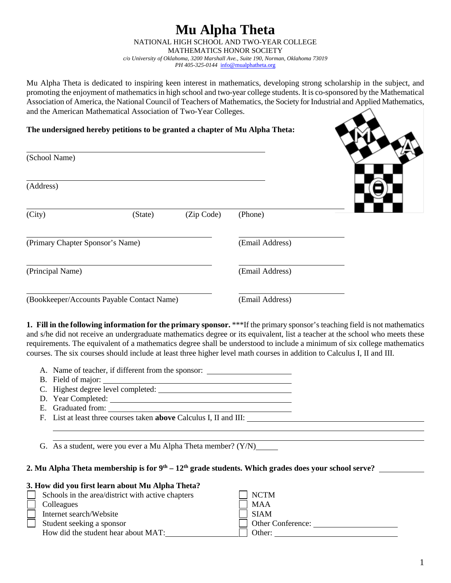#### **Mu Alpha Theta** NATIONAL HIGH SCHOOL AND TWO-YEAR COLLEGE MATHEMATICS HONOR SOCIETY *c/o University of Oklahoma, 3200 Marshall Ave., Suite 190, Norman, Oklahoma 73019 PH 405-325-0144* [info@mualphatheta.org](mailto:info@mualphatheta.org)

Mu Alpha Theta is dedicated to inspiring keen interest in mathematics, developing strong scholarship in the subject, and promoting the enjoyment of mathematics in high school and two-year college students. It is co-sponsored by the Mathematical Association of America, the National Council of Teachers of Mathematics, the Society for Industrial and Applied Mathematics, and the American Mathematical Association of Two-Year Colleges.

## **The undersigned hereby petitions to be granted a chapter of Mu Alpha Theta:**

| (School Name)                    |                                            |            |                 |  |
|----------------------------------|--------------------------------------------|------------|-----------------|--|
| (Address)                        |                                            |            |                 |  |
| (City)                           | (State)                                    | (Zip Code) | (Phone)         |  |
| (Primary Chapter Sponsor's Name) |                                            |            | (Email Address) |  |
| (Principal Name)                 |                                            |            | (Email Address) |  |
|                                  | (Bookkeeper/Accounts Payable Contact Name) |            | (Email Address) |  |

**1. Fill in the following information for the primary sponsor.** \*\*\*If the primary sponsor's teaching field is not mathematics and s/he did not receive an undergraduate mathematics degree or its equivalent, list a teacher at the school who meets these requirements. The equivalent of a mathematics degree shall be understood to include a minimum of six college mathematics courses. The six courses should include at least three higher level math courses in addition to Calculus I, II and III.

- A. Name of teacher, if different from the sponsor:
- B. Field of major:
- C. Highest degree level completed:
- D. Year Completed:
- E. Graduated from:
- F. List at least three courses taken **above** Calculus I, II and III:

G. As a student, were you ever a Mu Alpha Theta member? (Y/N)

## **2. Mu Alpha Theta membership is for 9th – 12th grade students. Which grades does your school serve?**

#### **3. How did you first learn about Mu Alpha Theta?**

| Schools in the area/district with active chapters | <b>NCTM</b>              |
|---------------------------------------------------|--------------------------|
| Colleagues                                        | <b>MAA</b>               |
| Internet search/Website                           | SIAM                     |
| Student seeking a sponsor                         | <b>Other Conference:</b> |
| How did the student hear about MAT:               | Other:                   |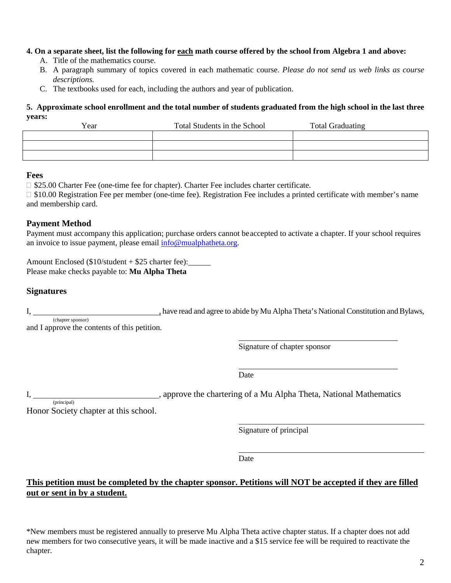#### **4. On a separate sheet, list the following for each math course offered by the school from Algebra 1 and above:**

- A. Title of the mathematics course.
- B. A paragraph summary of topics covered in each mathematic course. *Please do not send us web links as course descriptions.*
- C. The textbooks used for each, including the authors and year of publication.

#### **5. Approximate school enrollment and the total number of students graduated from the high school in the last three years:**

| Year | Total Students in the School | <b>Total Graduating</b> |
|------|------------------------------|-------------------------|
|      |                              |                         |
|      |                              |                         |
|      |                              |                         |

#### **Fees**

◻ \$25.00 Charter Fee (one-time fee for chapter). Charter Fee includes charter certificate.

□ \$10.00 Registration Fee per member (one-time fee). Registration Fee includes a printed certificate with member's name and membership card.

# **Payment Method**

Payment must accompany this application; purchase orders cannot beaccepted to activate a chapter. If your school requires an invoice to issue payment, please email  $\frac{info@mualphatheta.org}{info@mualphatheta.org}$ .

Amount Enclosed (\$10/student + \$25 charter fee): Please make checks payable to: **Mu Alpha Theta**

## **Signatures**

I, have read and agree to abide by Mu Alpha Theta's National Constitution and Bylaws,

(chapter sponsor) and I approve the contents of this petition.

Signature of chapter sponsor

Date

I, Solution 2. Approve the chartering of a Mu Alpha Theta, National Mathematics (principal)

Honor Society chapter at this school.

Signature of principal

Date

# **This petition must be completed by the chapter sponsor. Petitions will NOT be accepted if they are filled out or sent in by a student.**

\*New members must be registered annually to preserve Mu Alpha Theta active chapter status. If a chapter does not add new members for two consecutive years, it will be made inactive and a \$15 service fee will be required to reactivate the chapter.